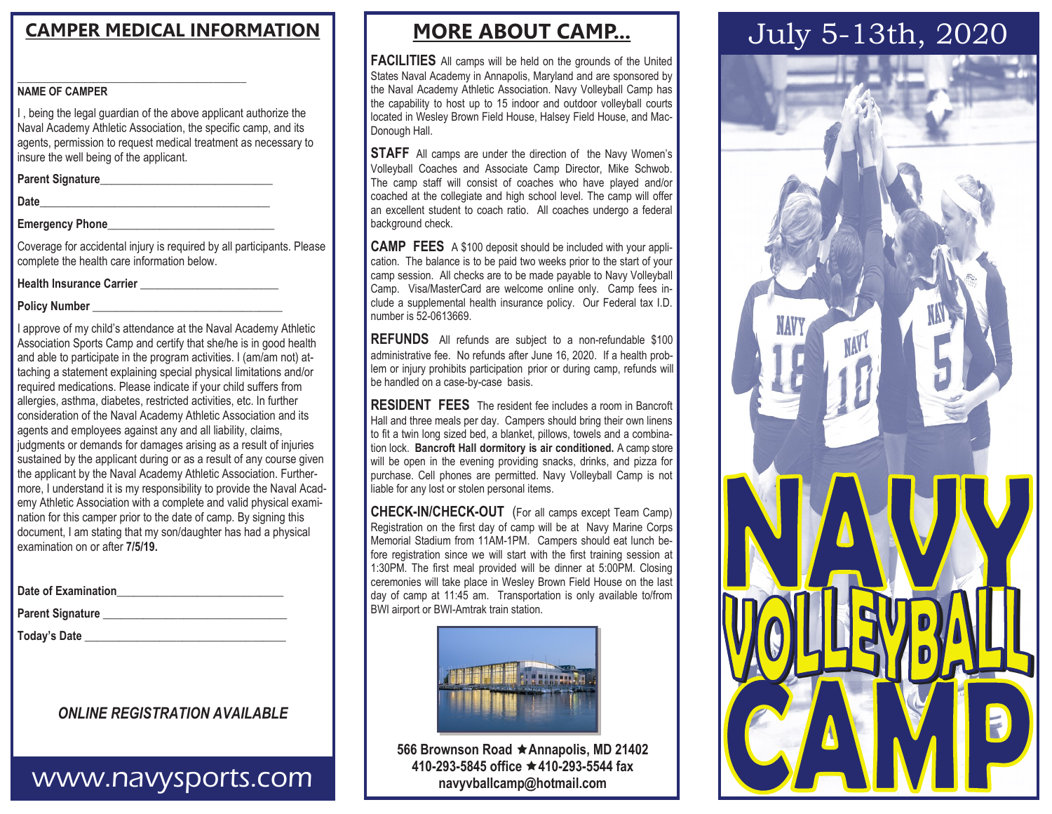#### $\_$  ,  $\_$  ,  $\_$  ,  $\_$  ,  $\_$  ,  $\_$  ,  $\_$  ,  $\_$  ,  $\_$  ,  $\_$  ,  $\_$  ,  $\_$  ,  $\_$  ,  $\_$ **NAME OF CAMPER**

I , being the legal guardian of the above applicant authorize the Naval Academy Athletic Association, the specific camp, and its agents, permission to request medical treatment as necessary to insure the well being of the applicant.

**Parent Signature\_\_\_\_\_\_\_\_\_\_\_\_\_\_\_\_\_\_\_\_\_\_\_\_\_\_\_\_\_\_** 

**Date\_\_\_\_\_\_\_\_\_\_\_\_\_\_\_\_\_\_\_\_\_\_\_\_\_\_\_\_\_\_\_\_\_\_\_\_\_\_\_\_** 

#### **Emergency Phone**

Coverage for accidental injury is required by all participants. Please complete the health care information below.

**Health Insurance Carrier \_\_\_\_\_\_\_\_\_\_\_\_\_\_\_\_\_\_\_\_\_\_\_\_** 

**Policy Number \_\_\_\_\_\_\_\_\_\_\_\_\_\_\_\_\_\_\_\_\_\_\_\_\_\_\_\_\_\_\_\_\_** 

I approve of my child's attendance at the Naval Academy Athletic Association Sports Camp and certify that she/he is in good health and able to participate in the program activities. I (am/am not) attaching a statement explaining special physical limitations and/or required medications. Please indicate if your child suffers from allergies, asthma, diabetes, restricted activities, etc. In further consideration of the Naval Academy Athletic Association and its agents and employees against any and all liability, claims, judgments or demands for damages arising as a result of injuries sustained by the applicant during or as a result of any course given the applicant by the Naval Academy Athletic Association. Furthermore, I understand it is my responsibility to provide the Naval Academy Athletic Association with a complete and valid physical examination for this camper prior to the date of camp. By signing this document, I am stating that my son/daughter has had a physical examination on or after **7/5/19.**

| Parent Signature _________ |  |
|----------------------------|--|
| Today's Date __________    |  |

#### *ONLINE REGISTRATION AVAILABLE*

## www.navysports.com

### **MORE ABOUT CAMP...**

**FACILITIES** All camps will be held on the grounds of the United States Naval Academy in Annapolis, Maryland and are sponsored by the Naval Academy Athletic Association. Navy Volleyball Camp has the capability to host up to 15 indoor and outdoor volleyball courts located in Wesley Brown Field House, Halsey Field House, and Mac-Donough Hall.

**STAFF** All camps are under the direction of the Navy Women's Volleyball Coaches and Associate Camp Director, Mike Schwob. The camp staff will consist of coaches who have played and/or coached at the collegiate and high school level. The camp will offer an excellent student to coach ratio. All coaches undergo a federal background check.

**CAMP FEES** A \$100 deposit should be included with your application. The balance is to be paid two weeks prior to the start of your camp session. All checks are to be made payable to Navy Volleyball Camp. Visa/MasterCard are welcome online only. Camp fees include a supplemental health insurance policy. Our Federal tax I.D. number is 52-0613669.

**REFUNDS** All refunds are subject to a non-refundable \$100 administrative fee. No refunds after June 16, 2020. If a health problem or injury prohibits participation prior or during camp, refunds will be handled on a case-by-case basis.

**RESIDENT FEES** The resident fee includes a room in Bancroft Hall and three meals per day. Campers should bring their own linens to fit a twin long sized bed, a blanket, pillows, towels and a combination lock. **Bancroft Hall dormitory is air conditioned.** A camp store will be open in the evening providing snacks, drinks, and pizza for purchase. Cell phones are permitted. Navy Volleyball Camp is not liable for any lost or stolen personal items.

**CHECK-IN/CHECK-OUT** (For all camps except Team Camp) Registration on the first day of camp will be at Navy Marine Corps Memorial Stadium from 11AM-1PM. Campers should eat lunch before registration since we will start with the first training session at 1:30PM. The first meal provided will be dinner at 5:00PM. Closing ceremonies will take place in Wesley Brown Field House on the last day of camp at 11:45 am. Transportation is only available to/from BWI airport or BWI-Amtrak train station.



**566 Brownson Road ★ Annapolis, MD 21402 410-293-5845 office 410-293-5544 fax navyvballcamp@hotmail.com**

# **CAMPER MEDICAL INFORMATION JULY 5-13th, 2020**